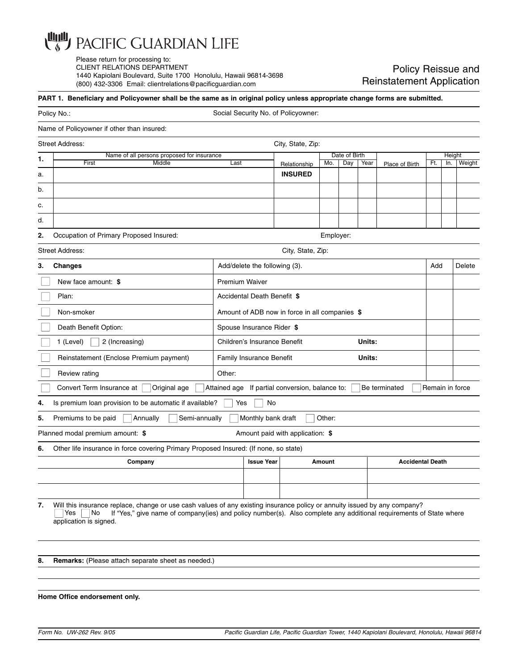

Please return for processing to: CLIENT RELATIONS DEPARTMENT 1440 Kapiolani Boulevard, Suite 1700 Honolulu, Hawaii 96814-3698 (800) 432-3306 Email: clientrelations@pacificguardian.com

## Policy Reissue and Reinstatement Application

## **PART 1. Beneficiary and Policyowner shall be the same as in original policy unless appropriate change forms are submitted.**

|    | Policy No.:                                                                                                                                                                                                                                                                              |                                                | Social Security No. of Policyowner: |                                                 |        |               |                         |                |                 |        |        |
|----|------------------------------------------------------------------------------------------------------------------------------------------------------------------------------------------------------------------------------------------------------------------------------------------|------------------------------------------------|-------------------------------------|-------------------------------------------------|--------|---------------|-------------------------|----------------|-----------------|--------|--------|
|    | Name of Policyowner if other than insured:                                                                                                                                                                                                                                               |                                                |                                     |                                                 |        |               |                         |                |                 |        |        |
|    | <b>Street Address:</b>                                                                                                                                                                                                                                                                   |                                                |                                     | City, State, Zip:                               |        |               |                         |                |                 |        |        |
| 1. | Name of all persons proposed for insurance                                                                                                                                                                                                                                               |                                                |                                     |                                                 |        | Date of Birth |                         |                |                 | Height |        |
|    | First<br>Middle                                                                                                                                                                                                                                                                          | Last<br>Relationship<br><b>INSURED</b>         |                                     |                                                 | Mo.    | Day           | Year                    | Place of Birth | Ft.             | In.    | Weight |
| a. |                                                                                                                                                                                                                                                                                          |                                                |                                     |                                                 |        |               |                         |                |                 |        |        |
| b. |                                                                                                                                                                                                                                                                                          |                                                |                                     |                                                 |        |               |                         |                |                 |        |        |
| c. |                                                                                                                                                                                                                                                                                          |                                                |                                     |                                                 |        |               |                         |                |                 |        |        |
| d. |                                                                                                                                                                                                                                                                                          |                                                |                                     |                                                 |        |               |                         |                |                 |        |        |
| 2. | Occupation of Primary Proposed Insured:                                                                                                                                                                                                                                                  |                                                | Employer:                           |                                                 |        |               |                         |                |                 |        |        |
|    | <b>Street Address:</b>                                                                                                                                                                                                                                                                   |                                                |                                     | City, State, Zip:                               |        |               |                         |                |                 |        |        |
| 3. | <b>Changes</b>                                                                                                                                                                                                                                                                           |                                                | Add/delete the following (3).       |                                                 |        |               |                         |                |                 | Add    | Delete |
|    | New face amount: \$                                                                                                                                                                                                                                                                      |                                                | <b>Premium Waiver</b>               |                                                 |        |               |                         |                |                 |        |        |
|    | Plan:                                                                                                                                                                                                                                                                                    | Accidental Death Benefit \$                    |                                     |                                                 |        |               |                         |                |                 |        |        |
|    | Non-smoker                                                                                                                                                                                                                                                                               | Amount of ADB now in force in all companies \$ |                                     |                                                 |        |               |                         |                |                 |        |        |
|    | Death Benefit Option:                                                                                                                                                                                                                                                                    | Spouse Insurance Rider \$                      |                                     |                                                 |        |               |                         |                |                 |        |        |
|    | 1 (Level)<br>2 (Increasing)                                                                                                                                                                                                                                                              | Units:<br>Children's Insurance Benefit         |                                     |                                                 |        |               |                         |                |                 |        |        |
|    | Reinstatement (Enclose Premium payment)                                                                                                                                                                                                                                                  | Units:<br>Family Insurance Benefit             |                                     |                                                 |        |               |                         |                |                 |        |        |
|    | Review rating                                                                                                                                                                                                                                                                            | Other:                                         |                                     |                                                 |        |               |                         |                |                 |        |        |
|    | Convert Term Insurance at<br>Original age                                                                                                                                                                                                                                                |                                                |                                     | Attained age If partial conversion, balance to: |        |               |                         | Be terminated  | Remain in force |        |        |
| 4. | Is premium loan provision to be automatic if available?                                                                                                                                                                                                                                  | Yes                                            | No                                  |                                                 |        |               |                         |                |                 |        |        |
| 5. | Premiums to be paid<br>Annually<br>Semi-annually                                                                                                                                                                                                                                         |                                                | Monthly bank draft                  |                                                 | Other: |               |                         |                |                 |        |        |
|    | Planned modal premium amount: \$                                                                                                                                                                                                                                                         |                                                |                                     | Amount paid with application: \$                |        |               |                         |                |                 |        |        |
| 6. | Other life insurance in force covering Primary Proposed Insured: (If none, so state)                                                                                                                                                                                                     |                                                |                                     |                                                 |        |               |                         |                |                 |        |        |
|    | Company                                                                                                                                                                                                                                                                                  |                                                | <b>Issue Year</b><br>Amount         |                                                 |        |               | <b>Accidental Death</b> |                |                 |        |        |
|    |                                                                                                                                                                                                                                                                                          |                                                |                                     |                                                 |        |               |                         |                |                 |        |        |
|    |                                                                                                                                                                                                                                                                                          |                                                |                                     |                                                 |        |               |                         |                |                 |        |        |
| 7. | Will this insurance replace, change or use cash values of any existing insurance policy or annuity issued by any company?<br>If "Yes," give name of company(ies) and policy number(s). Also complete any additional requirements of State where<br>Yes<br>  No<br>application is signed. |                                                |                                     |                                                 |        |               |                         |                |                 |        |        |
|    |                                                                                                                                                                                                                                                                                          |                                                |                                     |                                                 |        |               |                         |                |                 |        |        |
| 8. | <b>Remarks:</b> (Please attach separate sheet as needed.)                                                                                                                                                                                                                                |                                                |                                     |                                                 |        |               |                         |                |                 |        |        |
|    |                                                                                                                                                                                                                                                                                          |                                                |                                     |                                                 |        |               |                         |                |                 |        |        |

**Home Office endorsement only.**